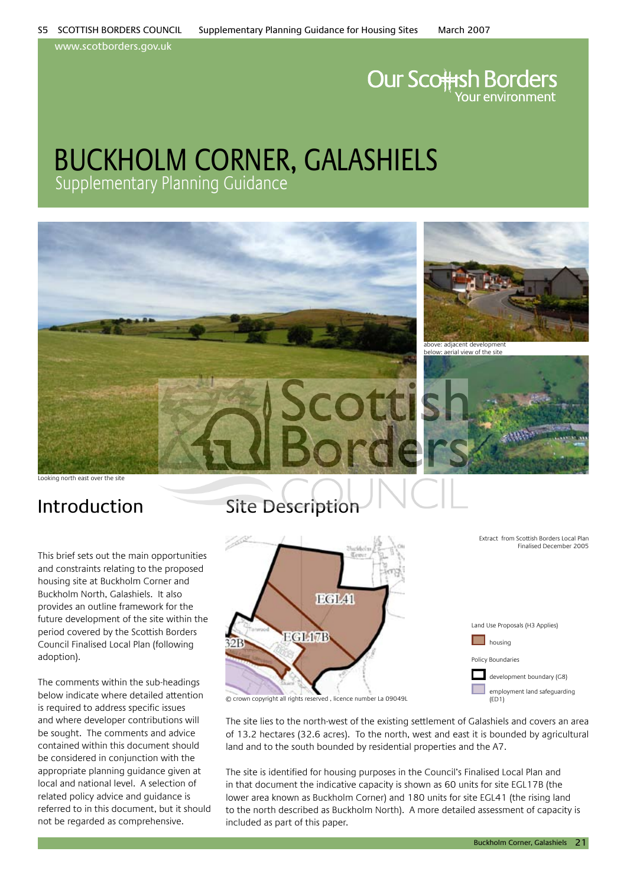www.scotborders.gov.uk

# **Our Scottsh Borders**

### buckholm corner, galashiels Supplementary Planning Guidance



Looking north east over the site

This brief sets out the main opportunities and constraints relating to the proposed housing site at Buckholm Corner and Buckholm North, Galashiels. It also provides an outline framework for the future development of the site within the period covered by the Scottish Borders Council Finalised Local Plan (following adoption).

The comments within the sub-headings below indicate where detailed attention is required to address specific issues and where developer contributions will be sought. The comments and advice contained within this document should be considered in conjunction with the appropriate planning guidance given at local and national level. A selection of related policy advice and guidance is referred to in this document, but it should not be regarded as comprehensive.

### Introduction Site Description



The site lies to the north-west of the existing settlement of Galashiels and covers an area of 13.2 hectares (32.6 acres). To the north, west and east it is bounded by agricultural land and to the south bounded by residential properties and the A7.

The site is identified for housing purposes in the Council's Finalised Local Plan and in that document the indicative capacity is shown as 60 units for site EGL17B (the lower area known as Buckholm Corner) and 180 units for site EGL41 (the rising land to the north described as Buckholm North). A more detailed assessment of capacity is included as part of this paper.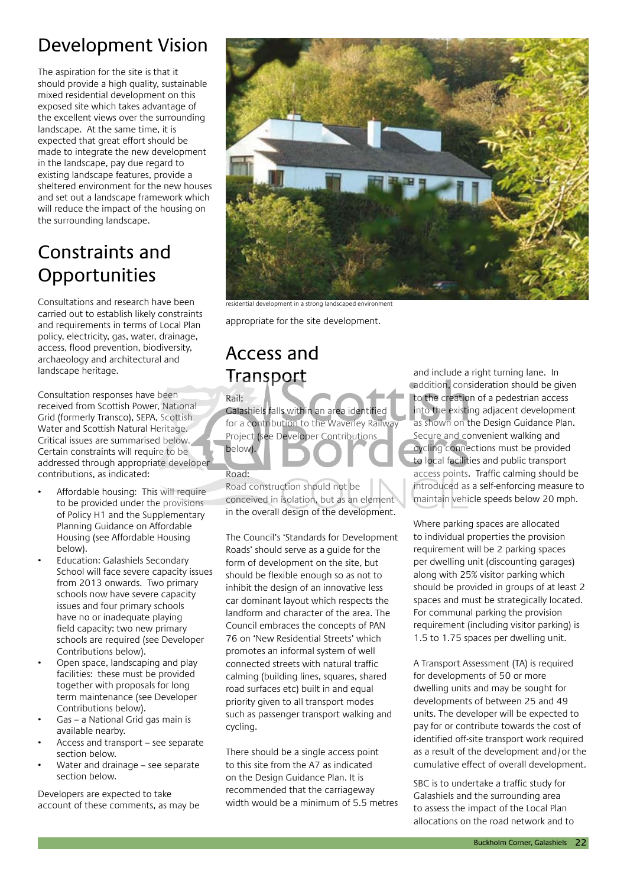### Development Vision

The aspiration for the site is that it should provide a high quality, sustainable mixed residential development on this exposed site which takes advantage of the excellent views over the surrounding landscape. At the same time, it is expected that great effort should be made to integrate the new development in the landscape, pay due regard to existing landscape features, provide a sheltered environment for the new houses and set out a landscape framework which will reduce the impact of the housing on the surrounding landscape.

### Constraints and **Opportunities**

Consultations and research have been carried out to establish likely constraints and requirements in terms of Local Plan policy, electricity, gas, water, drainage, access, flood prevention, biodiversity, archaeology and architectural and landscape heritage.

Consultation responses have been received from Scottish Power, National Grid (formerly Transco), SEPA, Scottish Water and Scottish Natural Heritage. Critical issues are summarised below. Certain constraints will require to be addressed through appropriate developer contributions, as indicated:

- Affordable housing: This will require to be provided under the provisions of Policy H1 and the Supplementary Planning Guidance on Affordable Housing (see Affordable Housing below).
- Education: Galashiels Secondary School will face severe capacity issues from 2013 onwards. Two primary schools now have severe capacity issues and four primary schools have no or inadequate playing field capacity; two new primary schools are required (see Developer Contributions below).
- Open space, landscaping and play facilities: these must be provided together with proposals for long term maintenance (see Developer Contributions below).
- Gas a National Grid gas main is available nearby.
- Access and transport see separate section below.
- Water and drainage see separate section below.

Developers are expected to take account of these comments, as may be



residential development in a strong landscaped environment

appropriate for the site development.

### Access and **Transport**

#### Rail:

Galashiels falls within an area identified for a contribution to the Waverley Railway Project (see Developer Contributions below).

### Road:

Road construction should not be conceived in isolation, but as an element in the overall design of the development.

The Council's 'Standards for Development Roads' should serve as a guide for the form of development on the site, but should be flexible enough so as not to inhibit the design of an innovative less car dominant layout which respects the landform and character of the area. The Council embraces the concepts of PAN 76 on 'New Residential Streets' which promotes an informal system of well connected streets with natural traffic calming (building lines, squares, shared road surfaces etc) built in and equal priority given to all transport modes such as passenger transport walking and cycling.

There should be a single access point to this site from the A7 as indicated on the Design Guidance Plan. It is recommended that the carriageway width would be a minimum of 5.5 metres

and include a right turning lane. In addition, consideration should be given to the creation of a pedestrian access into the existing adjacent development as shown on the Design Guidance Plan. Secure and convenient walking and cycling connections must be provided to local facilities and public transport access points. Traffic calming should be introduced as a self-enforcing measure to maintain vehicle speeds below 20 mph.

Where parking spaces are allocated to individual properties the provision requirement will be 2 parking spaces per dwelling unit (discounting garages) along with 25% visitor parking which should be provided in groups of at least 2 spaces and must be strategically located. For communal parking the provision requirement (including visitor parking) is 1.5 to 1.75 spaces per dwelling unit.

A Transport Assessment (TA) is required for developments of 50 or more dwelling units and may be sought for developments of between 25 and 49 units. The developer will be expected to pay for or contribute towards the cost of identified off-site transport work required as a result of the development and/or the cumulative effect of overall development.

SBC is to undertake a traffic study for Galashiels and the surrounding area to assess the impact of the Local Plan allocations on the road network and to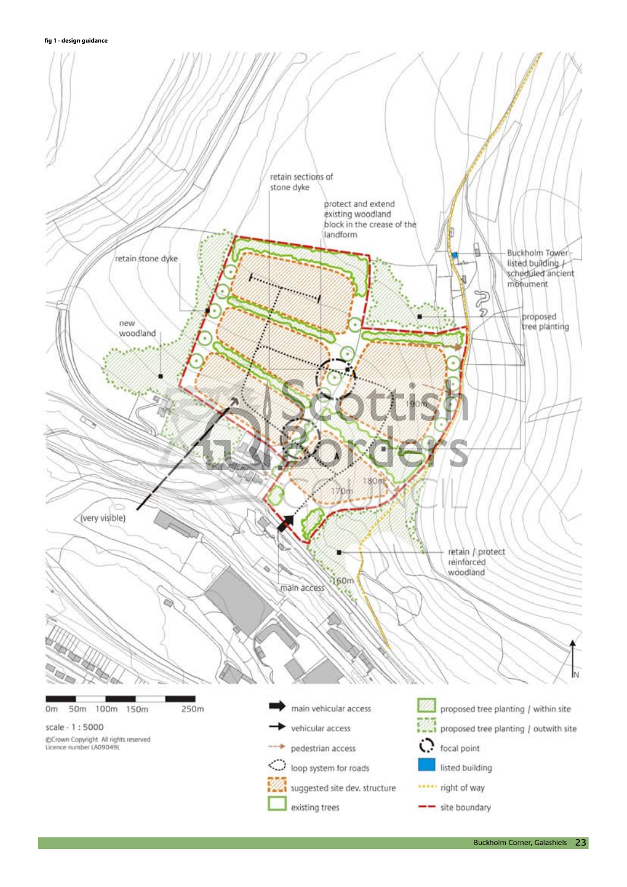**fig 1 - design guidance**

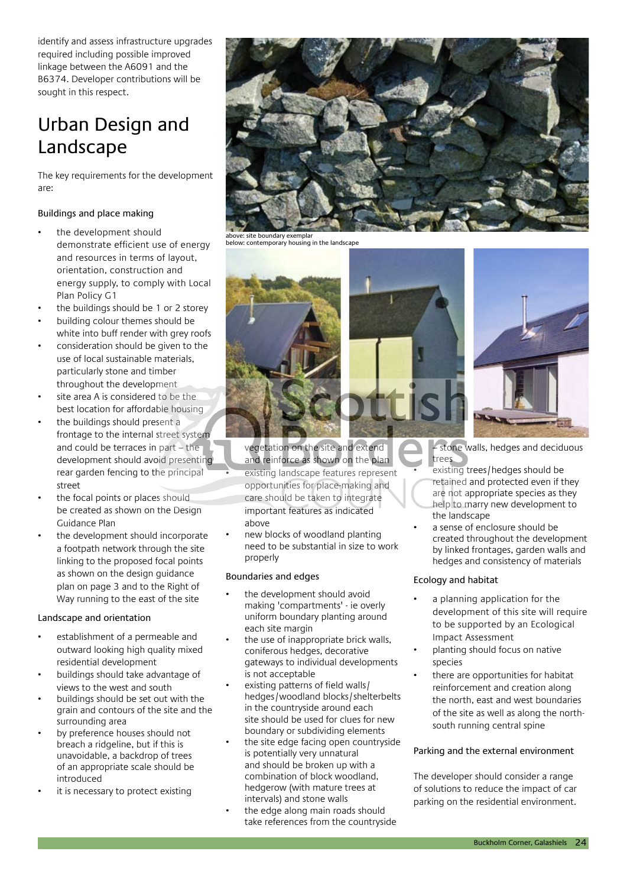identify and assess infrastructure upgrades required including possible improved linkage between the A6091 and the B6374. Developer contributions will be sought in this respect.

### Urban Design and Landscape

The key requirements for the development are:

#### Buildings and place making

- the development should demonstrate efficient use of energy and resources in terms of layout, orientation, construction and energy supply, to comply with Local Plan Policy G1
- the buildings should be 1 or 2 storey
- building colour themes should be white into buff render with grey roofs
- consideration should be given to the use of local sustainable materials, particularly stone and timber throughout the development
- site area A is considered to be the best location for affordable housing
- the buildings should present a frontage to the internal street system and could be terraces in part – the development should avoid presenting rear garden fencing to the principal street
- the focal points or places should be created as shown on the Design Guidance Plan
- the development should incorporate a footpath network through the site linking to the proposed focal points as shown on the design guidance plan on page 3 and to the Right of Way running to the east of the site

#### Landscape and orientation

- establishment of a permeable and outward looking high quality mixed residential development
- buildings should take advantage of views to the west and south
- buildings should be set out with the grain and contours of the site and the surrounding area
- by preference houses should not breach a ridgeline, but if this is unavoidable, a backdrop of trees of an appropriate scale should be introduced
- it is necessary to protect existing



below: contemporary housing in the landscape



vegetation on the site and extend and reinforce as shown on the plan

- existing landscape features represent opportunities for place-making and care should be taken to integrate important features as indicated above
- new blocks of woodland planting need to be substantial in size to work properly

#### Boundaries and edges

- the development should avoid making 'compartments' - ie overly uniform boundary planting around each site margin
- the use of inappropriate brick walls, coniferous hedges, decorative gateways to individual developments is not acceptable
- existing patterns of field walls/ hedges/woodland blocks/shelterbelts in the countryside around each site should be used for clues for new boundary or subdividing elements
- the site edge facing open countryside is potentially very unnatural and should be broken up with a combination of block woodland, hedgerow (with mature trees at intervals) and stone walls
- the edge along main roads should take references from the countryside



– stone walls, hedges and deciduous trees

- existing trees/hedges should be retained and protected even if they are not appropriate species as they help to marry new development to the landscape
- a sense of enclosure should be created throughout the development by linked frontages, garden walls and hedges and consistency of materials

#### Ecology and habitat

- a planning application for the development of this site will require to be supported by an Ecological Impact Assessment
- planting should focus on native species
- there are opportunities for habitat reinforcement and creation along the north, east and west boundaries of the site as well as along the northsouth running central spine

#### Parking and the external environment

The developer should consider a range of solutions to reduce the impact of car parking on the residential environment.